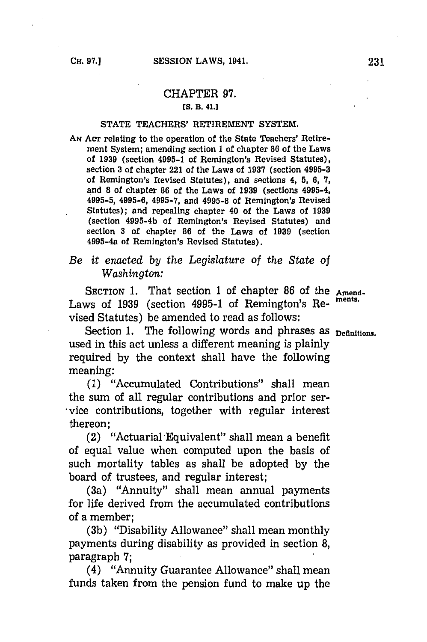## CHAPTER **97.**

## **[S. B. 41.]**

### **STATE TEACHERS'** RETIREMENT SYSTEM.

**AN ACT** relating to the operation of the State Teachers' Retirement System; amending section 1 of chapter **86** of the Laws of **1939** (section 4995-1 of Remington's Revised Statutes), section **3** of chapter 221 of the Laws of **1937** (section **4995-3** of Remington's Revised Statutes), and sections 4, 5, 6, 7, and **8** of chapter **86** of the Laws of **1939** (sections 4995-4, 4995-5, 4995-6, **4995-7,** and 4995-8 of Remington's Revised Statutes); and repealing chapter 40 of the Laws of **1939** (section 4995-4b of Remington's Revised Statutes) and section **3** of chapter **86** of the Laws of **1939** (section 499 5-4a **of** Remington's Revised Statutes).

# *Be it enacted by the Legislature of the State of Washington:*

SECTION 1. That section 1 of chapter 86 of the Amend-Laws of 1939 (section 4995-1 of Remington's Revised Statutes) be amended to read as follows:

Section 1. The following words and phrases as **Definitions**. used in this act unless a different meaning is plainly required **by** the context shall have the following meaning:

**(1)** "Accumulated Contributions" shall mean the sum of all regular contributions and prior service contributions, together with regular interest thereon;

(2) "Actuarial-Equivalent" shall mean a benefit of equal value when computed upon the basis of such mortality tables as shall be adopted **by** the board of trustees, and regular interest;

(3a) "Annuity" shall mean annual payments for life derived from the accumulated contributions of a member;

(3b) "Disability Allowance" shall mean monthly payments during disability as provided in section **8,** paragraph **7;**

(4) "Annuity Guarantee Allowance" shall mean funds taken from the pension fund to make up the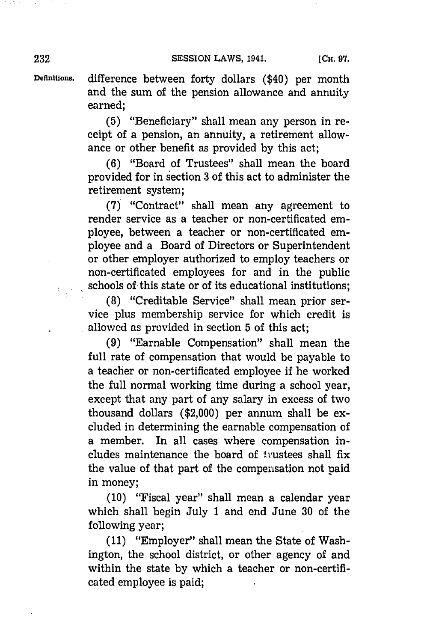**Defintions,** difference between forty dollars (\$40) per month and the sum of the pension allowance and annuity earned;

> **(5)** "Beneficiary" shall mean any person in receipt of a pension, an annuity, a retirement allowance or other benefit as provided **by** this act;

> **(6)** "Board of Trustees" shall mean the board provided for in section **3** of this act to administer the retirement system;

> **(7)** "Contract" shall mean any agreement to render service as a teacher or non-certificated employee, between a teacher or non-certificated employee and a Board of Directors or Superintendent or other employer authorized to employ teachers or non-certificated employees for and in the public schools of this state or of its educational institutions;

> **(8)** "Creditable Service" shall mean prior service plus membership service for which credit is allowcd as provided in section **5** of this act;

> **(9)** "Earnable Compensation" shall mean the full rate of compensation that would be payable to a teacher or non-certificated employee if he worked the full normal working time during a school year, except that any part of any salary in excess of two thousand dollars (\$2,000) per annum. shall be excluded in determining the earnable compensation of a member. In all cases where compensation includes maintenance the board of trustees shall fix the value of that part of the compensation not paid in money;

> **(10)** "Fiscal year" shall mean a calendar year which shall begin July 1 and end June **30** of the following year;

> **(11)** "Employer" shall mean the State of Washington, the school district, or other agency of and within the state **by** which a teacher or non-certificated employee is paid;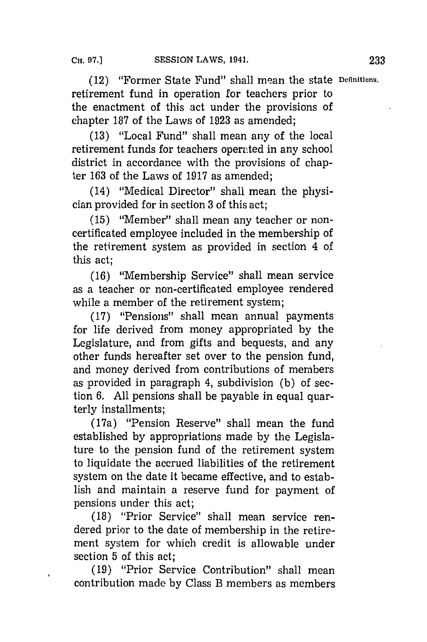(12) "Former State Fund" shall mean the state **Dcflnitian's,** retirement fund in operation for teachers prior to the enactment of this act under the provisions of chapter **187** of the Laws of **1923** as amended;

**(13)** "Local Fund" shall mean any of the local retirement funds for teachers operated in any school district in accordance with the provisions of chapter **163** of the Laws of **1917** as amended;

(14) "Medical Director" shall mean the physician provided for in section **3** of this act;

**(15)** "Member" shall mean any teacher or noncertificated employee included in the membership of the retirement system as provided in section 4 of this act;

**(16)** "Membership Service" shall mean service as a teacher or non-certificated employee rendered while a member of the retirement system;

**(17)** "Pensions" shall mean annual payments for life derived from money appropriated **by** the Legislature, and from gifts and bequests, and any other funds hereafter set over to the pension fund, and money derived from contributions of members as provided in paragraph 4, subdivision **(b)** of section **6. All** pensions shall be payable in equal quarterly installments;

(17a) "Pension Reserve" shall mean the fund established **by** appropriations made **by** the Legislature to the pension fund of the retirement system to liquidate the accrued liabilities of the retirement system on the date it became effective, and to establish and maintain a reserve fund for payment of pensions under this act;

**(18)** "Prior Service" shall mean service rendered prior to the date of membership in the retirement system for which credit is allowable under section **5** of this act;

**(19)** "Prior Service Contribution" shall mean contribution made **by** Class B members as members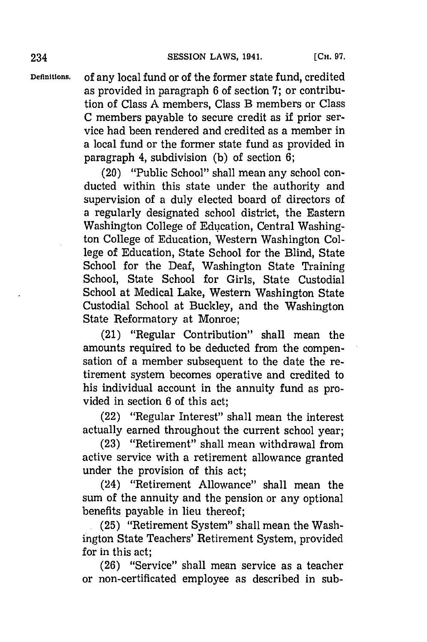**Deflnitions,** of any local fund or of the former state fund, credited as provided in paragraph **6** of section **'7;** or contribution of Class **A** members, Class B members or Class **C** members payable to secure credit as if prior ser-

vice had been rendered and credited as a member in a local fund or the former state fund as provided in paragraph 4, subdivision **(b)** of section **6;**

(20) "Public School" shall mean any school conducted within this state under the authority and supervision of a duly elected board of directors of a regularly designated school district, the Eastern Washington College of Education, Central Washington College of Education, Western Washington College of Education, State School for the Blind, State School for the Deaf, Washington State Training School, State School for Girls, State Custodial School at Medical Lake, Western Washington State Custodial School at Buckley, and the Washington State Reformatory at Monroe;

(21) "Regular Contribution" shall mean the amounts required to be deducted from the compensation of a member subsequent to the date the retirement system becomes operative and credited to his individual account in the annuity fund as provided in section **6** of this act;

(22) "Regular Interest" shall mean the interest actually earned throughout the current school year;

**(23)** "Retirement" shall mean withdrawal from active service with a retirement allowance granted under the provision of this act;

(24) "Retirement Allowance" shall mean the sum of the annuity and the pension or any optional benefits payable in lieu thereof;

**.(25)** "Retirement System" shall mean the Washington State Teachers' Retirement System, provided for in this act;

**(26)** "Service" shall mean service as a teacher or non-certificated employee as described in sub-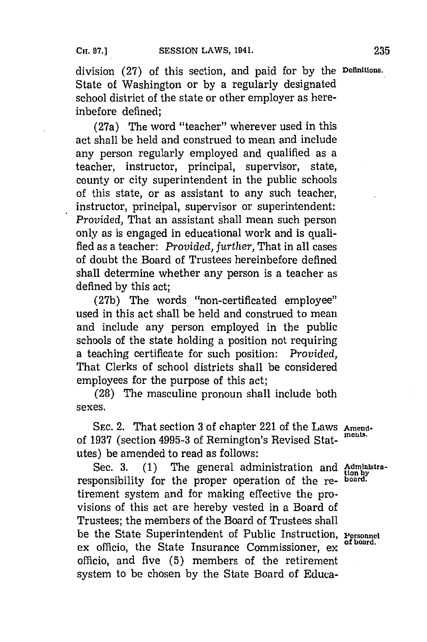division **(27)** of this section, and paid for **by** the **Definitions.** State of Washington or **by** a regularly designated school district of the state or other employer as hereinbefore defined;

(27a) The word "teacher" wherever used in this act shall be held and construed to mean and include any person regularly employed and qualified as a teacher, instructor, principal, supervisor, state, county or city superintendent in the public schools of this state, or as assistant to any such teacher, instructor, principal, supervisor or superintendent: *Provided,* That an assistant shall mean such person only as is engaged in educational work and is qualified as a teacher: *Provided, furtlier,* That in all cases of doubt the Board of Trustees hereinbefore defined shall determine whether any person is a teacher as defined **by** this act;

**(27b)** The words '"non-certificated employee" used in this act shall be held and construed to mean and include any person employed in the public schools of the state holding a position not requiring a teaching certificate for such position: *Provided,* That Clerks of school districts shall be considered employees for the purpose of this act;

**(28)** The masculine pronoun shall include both sexes.

SEC. 2. That section 3 of chapter 221 of the Laws Amendof **1937** (section **4995-3** of Remington's Revised Stat- **meuts.** utes) be amended to read as follows:

Sec. 3. (1) The general administration and Administraresponsibility for the proper operation of the re- **board.** tirement system and for making effective the provisions of this act are hereby vested in a Board of Trustees; the members of the Board of Trustees shall be the State Superintendent of Public Instruction, **Personnel** ex officio, the State Insurance Commissioner, ex officio, and five **(5)** members of the retirement system to be chosen **by** the State Board of Educa-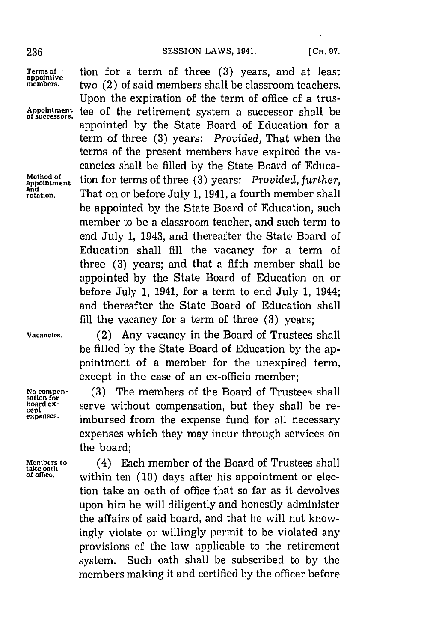**appointment**<br>and<br>rotation.

**Terms of the a tion for a term of three (3) years, and at least appointive two** (2) of said members shall be classroom teachers **members.** two (2) of said members shall be classroom teachers. Upon the expiration of the term of office of a trus-Appointment tee of the retirement system a successor shall be appointed **by** the State Board of Education for a term of three **(3)** years: *Provided,* That when the terms of the present members have expired the vacancies shall be filled **by** the State Board of Educa-Method of tion for terms of three (3) years: *Provided, further,* That on or before July 1, 1941, a fourth member shall be appointed **by** the State Board of Education, such member to be a classroom teacher, and such term to end July **1,** 1943, and thereafter the State Board of Education shall **fill** the vacancy for a term of three **(3)** years; and that a fifth member shall be appointed **by** the State Board of Education on or before July **1,** 1941, for a term to end July **1,** 1944; and thereafter the State Board of Education shall fill the vacancy for a term of three **(3)** years;

**Vacancies.** (2) Any vacancy in the Board of Trustees shall be filled **by** the State Board of Education **by** the appointment of a member for the unexpired term, except in the case of an ex-officio member;

**No compen- (3)** The members of the Board of Trustees shall **sation for board ex-** serve without compensation, but they shall be re-<br>expenses. **imbursed** from the expenses fund for all names. imbursed from the expense fund for all necessary expenses which they may incur through services on the board;

**Members to** (4) Each member of the Board of Trustees shall **take oath of office,** within ten **(10)** days after his appointment or election take an oath of office that so far as it devolves upon him he will diligently and honestly administer the affairs of said board, and that he will not knowingly violate or willingly permit to be violated any provisions of the law applicable to the retirement system. Such oath shall be subscribed to **by** the members making it and certified **by** the officer before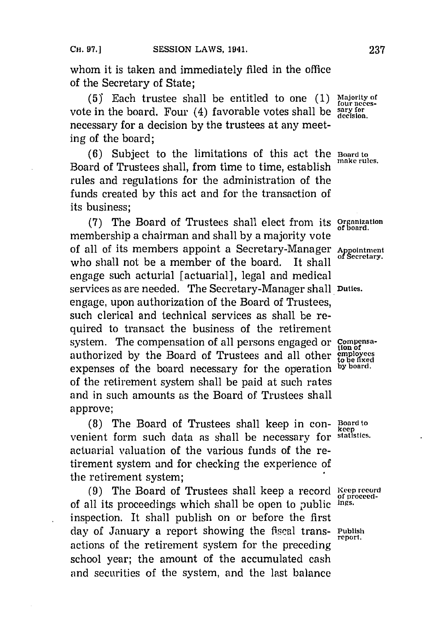whom it is taken and immediately filed in the office of the Secretary of State;

 $(5)$  Each trustee shall be entitled to one  $(1)$ vote in the board. Four (4) favorable votes shall be necessary for a decision **by** the trustees at any meeting of the board;

**(6)** Subject to the limitations of this act the **Board to** Board of Trustees shall, from time to time, establish rules and regulations for the administration of the funds created **by** this act and for the transaction of its business;

**(7)** The Board of Trustees shall elect from its **Organization** membership a chairman and shall **by** a majority vote of all of its members appoint a Secretary-Manager Appointment who shall not be a member of the board. It shall engage such acturial [actuarial], legal and medical services as are needed. The Secretary-Manager shall **Duties.** engage, upon authorization of the Board of Trustees, such clerical and technical services as shall be required to transact the business of the retirement system. The compensation of all persons engaged or **Compensa** authorized **by** the Board of Trustees and all other **moc** expenses of the board necessary for the operation **by board.** of the retirement system shall be paid at such rates and in such amounts as the Board of Trustees shall approve;

**(8)** The Board of Trustees shall keep in con- **Board to kee** venient form such data as shall be necessary for actuarial valuation of the various funds of the retirement system and for checking the experience of the retirement system;

**(9)** The Board of Trustees shall keep a record **Keep record** of all its proceedings which shall be open to public **lags.** inspection. It shall publish on or before the first day of January a report showing the fiscal trans- **Publish** report. actions of the retirement system for the preceding school year; the amount of the accumulated cash and securities of the system, and the last balance

Majority of<br>four necessary for<br>decision.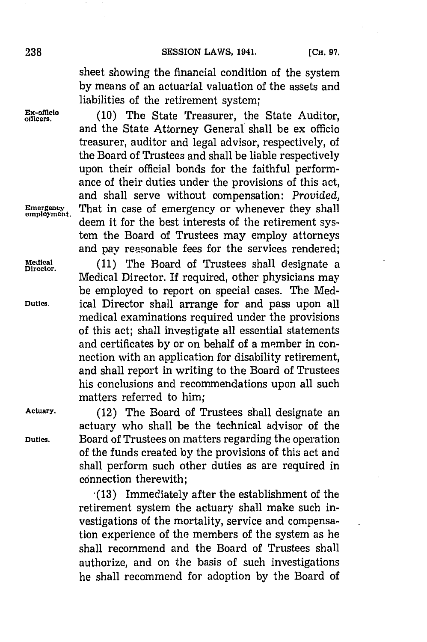sheet showing the financial condition of the system **by** means of an actuarial valuation of the assets and liabilities of the retirement system;

**Ex-officio (10)** The State Treasurer, the State Auditor, **officers.** and the State Attorney General'shall be ex officio treasurer, auditor and legal advisor, respectively, of the Board of Trustees and shall be liable respectively upon their official bonds for the faithful performance of their duties under the provisions of this act, and shall serve without compensation: *Provided,* Emergency That in case of emergency or whenever they shall deem it for the best interests of the retirement system the Board of Trustees may employ attorneys and pay reasonable fees for the services rendered;

Medical (11) The Board of Trustees shall designate a Medical Director. If required, other physicians may be employed to report on special cases. The Med-**Duties.** ical Director shall arrange for and pass upon all medical examinations required under the provisions of this act; shall investigate all essential statements and certificates **by** or on behalf of a member in connection with an application for disability retirement, and shall report in writing to the Board of Trustees his conclusions and recommendations upon all such matters referred to him;

**Actuary.** (12) The Board of Trustees shall designate an actuary who shall be the technical advisor of the **Duties.** Board of Trustees on matters regarding the operation of the funds created **by** the provisions of this act and shall perform such other duties as are required in connection therewith:

> **(13)** Immediately after the establishment of the retirement system the actuary shall make such investigations of the mortality, service and compensation experience of the members of the system as he shall recomnmend and the Board of Trustees shall authorize, and on the basis of such investigations he shall recommend for adoption **by** the Board of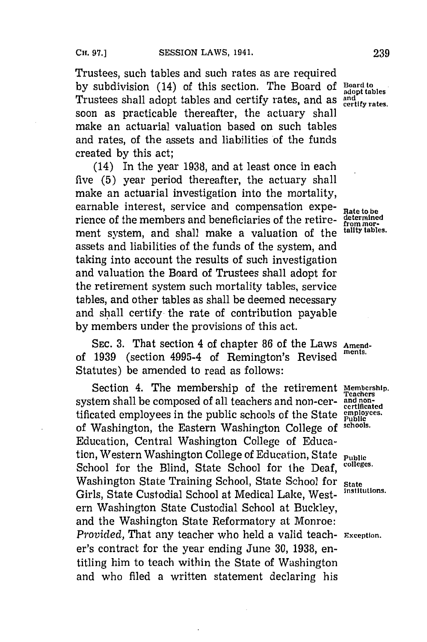Trustees, such tables and such rates as are required by subdivision (14) of this section. The Board of **Board to a** adopt tables<br>Trustees shall adopt tables and certify rates and as and Trustees shall adopt tables and certify rates, and as and returnal rates. soon as practicable thereafter, the actuary shall make an actuarial valuation based on such tables and rates, of the assets and liabilities of the funds created **by** this act;

(14) In the year **1938,** and at least once in each five **(5)** year period thereafter, the actuary shall make an actuarial investigation into the mortality, earnable interest, service and compensation expe- Rate to be rience of the members and beneficiaries of the retire- **determined** ment system, and shall make a valuation of the **tality tables.** assets and liabilities of the funds of the system, and taking into account the results of such investigation and valuation the Board of Trustees shall adopt for the retirement system such mortality tables, service tables, and other tables as shall be deemed necessary and shall certify the rate of contribution payable **by** members under the provisions of this act.

**SEC. 3.** That section 4 of chapter **86** of the Laws **Amend**of 1939 (section 4995-4 of Remington's Revised Statutes) be amended to read as follows:

Section 4. The membership of the retirement Membership. system shall be composed of all teachers and non-cer- and nontificated employees in the public schools of the State employees. of Washington, the Eastern Washington College of **school,.** Education, Central Washington College of Education, Western Washington College of Education, State **Public** School for the Blind, State School for the Deaf, <sup>colleges.</sup> Washington State Training School, State School for **State**<br>Cirls, State Cuntedial School of Madisel Lake, West institutions. Girls, State Custodial School at Medical Lake, Western Washington State Custodial School at Buckley, and the Washington State Reformatory at Monroe: *Provided,* That any teacher who held a valid teach- **Exception.** er's contract for the year ending June **30, 1938,** entitling him to teach within the State of Washington and who filed a written statement declaring his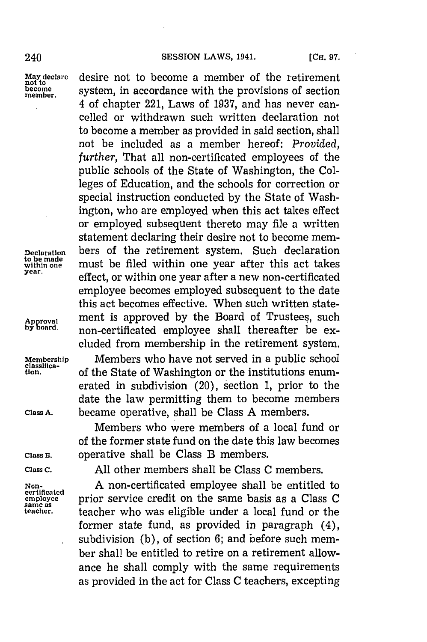**to be made**

**classifica-**

**Class A.** became operative, shall be Class **A** members.

May declare **desire not to become a member of the retirement**<br> **not to** every server in accordance with the provisions of section become system, in accordance with the provisions of section 4 of chapter 221, Laws of **1937,** and has never cancelled or withdrawn such written declaration not to become a member as provided in said section, shall not be included as a member hereof: *Provided, further,* That all non-certificated employees of the public schools of the State of Washington, the Colleges of Education, and the schools for correction or special instruction conducted **by** the State of Washington, who are employed when this act takes effect or employed subsequent thereto may file a written statement declaring their desire not to become mem-**Declaration** bers of the retirement system. Such declaration **w** to be made **must** be filed within one year after this act takes year. effect, or within one year after a new non-certificated employee becomes employed subsequent to the date this act becomes effective. When such written state-Approval **ment** is approved by the Board of Trustees, such<br>by poard. **pop contificated** employee shall thereafter be exnon-certificated employee shall thereafter be excluded from membership in the retirement system. **Membership** Members who have not served in a public school **tion.** of the State of Washington or the institutions enumerated in subdivision (20), section **1,** prior to the date the law permitting them to become members

Members who were members of a local fund or of the former state fund on the date this law becomes **Class B.** operative shall be Class B members.

**Class C. All** other members shall be Class **C** members.

Non-<br>ertificated **A** non-certificated employee shall be entitled to<br> $\tilde{A}$ **employee** prior service credit on the same basis as a Class **<sup>C</sup> same as teacher.** teacher who was eligible under a local fund or the former state fund, as provided in paragraph (4), subdivision (b), of section 6; and before such member shall be entitled to retire on a retirement allowance he shall comply with the same requirements as provided in the act for Class **C** teachers, excepting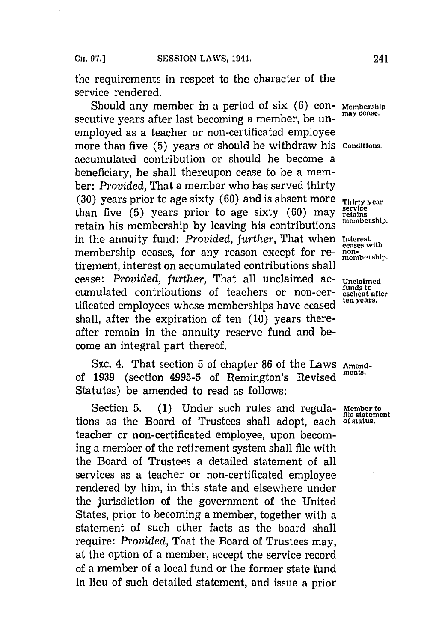the requirements in respect to the character of the service rendered.

Should any member in a period of six (6) con- Membership secutive years after last becoming a member, be unemployed as a teacher or non-certificated employee more than five **(5)** years or should he withdraw his **Conditions..** accumulated contribution or should he become a beneficiary, he shall thereupon cease to be a member: *Provided,* That a member who has served thirty **(30)** years prior to age sixty **(60)** and is absent more **Thirty year** than five (5) years prior to age sixty (60) may **retain** retains the membership. retain his membership by leaving his contributions in the annuity fund: *Provided, further,* That when **Interest** membership ceases, for any reason except for re- non-bership. tirement, interest on accumulated contributions shall cease: *Provided, further,* That all unclaimed ac- **Unclaimed** cumulated contributions of teachers or non-cer- **exchical** after **fundated contributions of teachers or non-cer-**  $\frac{\text{funds to}}{\text{sech} \cdot \text{gen}}$ tificated employees whose memberships have ceased shall, after the expiration of ten **(10)** years thereafter remain in the annuity reserve fund and become an integral part thereof.

SEC. 4. That section **5** of chapter **86** of the Laws **Amend**of **1939** (section **4995-5** of Remington's Revised **ments.** Statutes) be amended to read as follows:

Section 5. (1) Under such rules and regula- Member to fle statement<br>as as the Board of Trustees shall adopt each of status. **file statement** tions as the Board of Trrustees shall adopt, each **of status.** teacher or non-certificated employee, upon becoming a member of the retirement system shall file with the Board of Trustees a detailed statement of all services as a teacher or non-certificated employee rendered **by** him, in this state and elsewhere under the jurisdiction of the government of the United States, prior to becoming a member, together with a statement of such other facts as the board shall require: *Provided,* That the Board of Trustees may, at the option of a member, accept the service record of a member of a local fund or the former state fund in lieu of such detailed statement, and issue a prior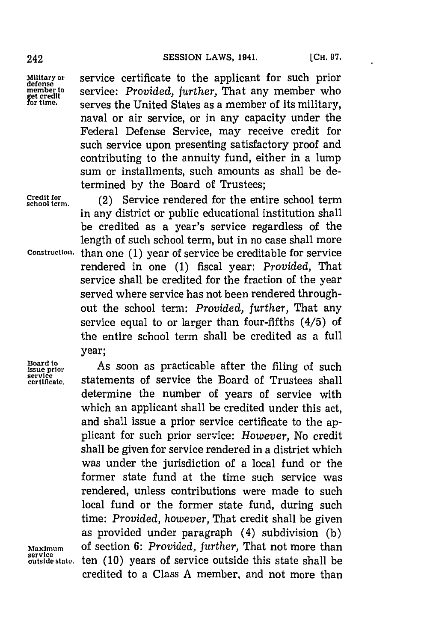**Military or** service certificate to the applicant for such prior member to **service:** *Provided, further,* That any member who get credit<br>for time, serves the United States as a member of its military. serves the United States as a member of its military, naval or air service, or in any capacity under the Federal Defense Service, may receive credit for such service upon presenting satisfactory proof and contributing to the annuity fund, either in a lump sum or installments, such amounts as shall be determined **by** the Board of Trustees;

**Credit for**

**school term.** (2) Service rendered for the entire school term in any district or public educational institution shall be credited as a year's service regardless of the length of such school term, but in no case shall more **Construction.** than one **(1)** year of service be creditable for service rendered in one **(1)** fiscal year: *Provided,* That service shall be credited for the fraction of the year served where service has not been rendered throughout the school term: *Provided, further,* That any service equal to or larger than four-fifths (4/5) of the entire school term shall be credited as a full year;

**Board to**<br>issue prior<br>service<br>certificate.

As soon as practicable after the filing of such statements of service the Board of Trustees shall determine the number of years of service with which an applicant shall be credited under this act, and shall issue a prior service certificate to the applicant for such prior service: *However,* No credit shall be given for service rendered in a district which was under the jurisdiction of a local fund or the former state fund at the time such service was rendered, unless contributions were made to such local fund or the former state fund, during such time: *Provided, however,* That credit shall be given as provided under paragraph (4) subdivision **(b) Maximum** of section *6: Provided, further,* That not more than ten (10) years of service outside this state shall be credited to a Class **A** member, and not more than

service<br>outside state.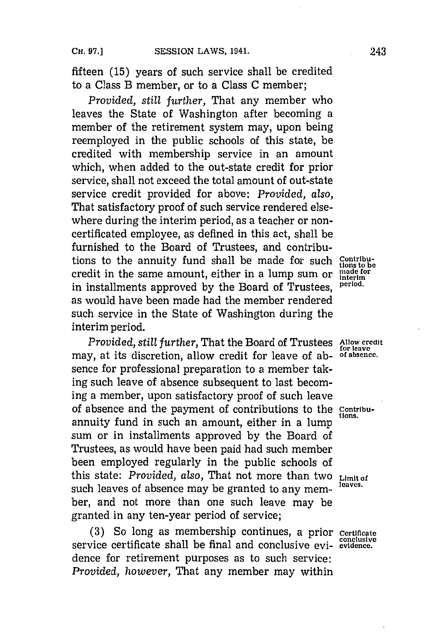fifteen **(15)** years of such service shall be credited to a Class B member, or to a Class **C** member;

*Provided, still further,* That any member who leaves the State of Washington after becoming a member of the retirement system may, upon being reemployed in the public schools of this state, be credited with membership service in an amount which, when added to the out-state credit for prior service, shall not exceed the total amount of out-state service credit provided for above: *Provided, also,* That satisfactory proof of such service rendered elsewhere during the interim period, as a teacher or noncertificated employee, as defined in this act, shall be furnished to the Board of Trustees, and contributions to the annuity fund shall be made for such Contribucredit in the same amount, either in a lump sum or  $\frac{\text{mode for}}{\text{interm}}$ in installments approved **by** the Board of Trustees, **period.** as would have been made had the member rendered such service in the State of Washington during the interim period.

*Provided, still further,* That the Board of Trustees Allow **credit** may, at its discretion, allow credit for leave of ab- **of absence.** sence for professional preparation to a member taking such leave of absence subsequent to last becoming a member, upon satisfactory proof of such leave of absence and the payment of contributions to the Contribuannuity fund in such an amount, either in a lump sum or in installments approved **by** the Board of Trustees, as would have been paid had such member been employed regularly in the public schools of this state: *Provided, also,* That not more than two **Limit of** such leaves of absence may be granted to any member, and not more than one such leave may be granted in any ten-year period of service;

**(3)** So long as membership continues, a prior **certificate** service certificate shall be final and conclusive evi- **evidence.** dence for retirement purposes as to such service: *Provided, however,* That any member may within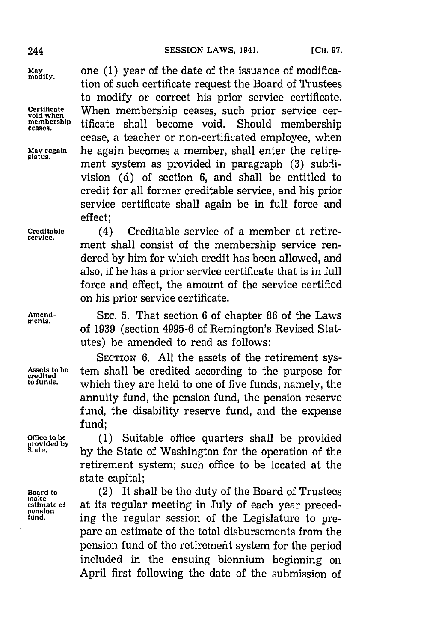**May** one **(1)** year of the date of the issuance of modifica- **modify.** tion of such certificate request the Board of Trustees to modify or correct his prior service certificate. **Certificate** When membership ceases, such prior service cer- **void when** membership tificate shall become void. cease, a teacher or non-certificated employee, when May regain **he again becomes a member, shall enter the retire**ment system as provided in paragraph **(3)** subdivision **(d)** of section **6,** and shall be entitled to credit for all former creditable service, and his prior service certificate shall again be in full force and effect;

**Creditable** (4) Creditable service of a member at retire- **service.**

dered **by** him for which credit has been allowed, and also, if he has a prior service certificate that is in full force and effect, the amount of the service certified on his prior service certificate.

ment shall consist of the membership service ren-

**Amenid- SEC. 5.** That section **6** of chapter **86** of the Laws of **1939** (section **4995-6** of Remington's Revised Statutes) be amended to read as follows:

**SECTION 6. All** the assets of the retirement sys-Assets to be **term** shall be credited according to the purpose for credited according to the purpose for the credited **to funds,** which they are held to one of five funds, namely, the annuity fund, the pension fund, the pension reserve fund, the disability reserve fund, and the expense fund;

Office to be (1) Suitable office quarters shall be provided by **by** the State of Washington for the operation of the retirement system; such office to be located at the state capital;

**Board to** (2) It shall be the duty of the Board of Trustees **estimate of** at its regular meeting in July of each year preced-<br> **pension**<br> **estimate in the regular session of the Legislature to pre**ing the regular session of the Legislature to prepare an estimate of the total disbursements from the pension fund of the retirement system for the period included in the ensuing biennium beginning on April first following the date of the submission of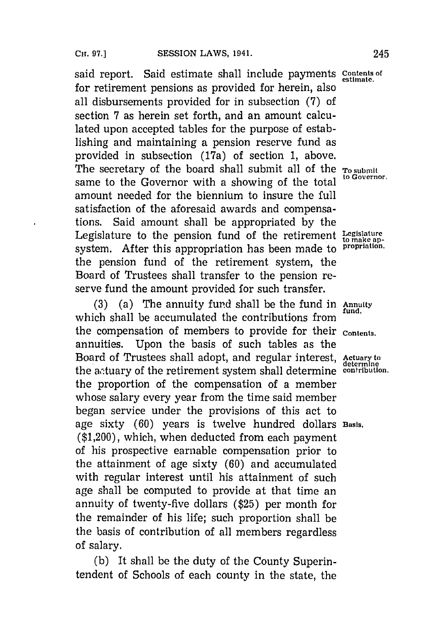said report. Said estimate shall include payments **contents of estimate.** for retirement pensions as provided for herein, also all disbursements provided for in subsection **(7)** of section **7** as herein set forth, and an amount calculated upon accepted tables for the purpose of establishing and maintaining a pension reserve fund as provided in subsection (17a) of section **1,** above. The secretary of the board shall submit all of the **To submit** same to the Governor with a showing of the total amount needed for the biennium to insure the full satisfaction of the aforesaid awards and compensations. Said amount shall be appropriated **by** the Legislature to the pension fund of the retirement  $L_{\text{to make ap}}$ system. After this appropriation has been made to **propriation.** the pension fund of the retirement system, the Board of Trustees shall transfer to the pension reserve fund the amount provided for such transfer.

**(3)** (a) The annuity fund shall be the fund in **Annuity** which shall be accumulated the contributions from the compensation of members to provide for their **Content.** annuities. Upon the basis of such tables as the Board of Trustees shall adopt, and regular interest, Actuary to the actuary of the retirement system shall determine **contribution**. the proportion of the compensation of a member whose salary every year from the time said member began service under the provisions of this act to age sixty **(60)** years is twelve hundred dollars **Basis.** (\$1,200), which, when deducted from each payment of his prospective earnable compensation prior to the attainment of age sixty **(60)** and accumulated with regular interest until his attainment of such age shall be computed to provide at that time an annuity of twenty-five dollars **(\$25)** per month for the remainder of his life; such proportion shall be the basis of contribution of all members regardless of salary.

**(b)** It shall be the duty of the County Superintendent of Schools of each county in the state, the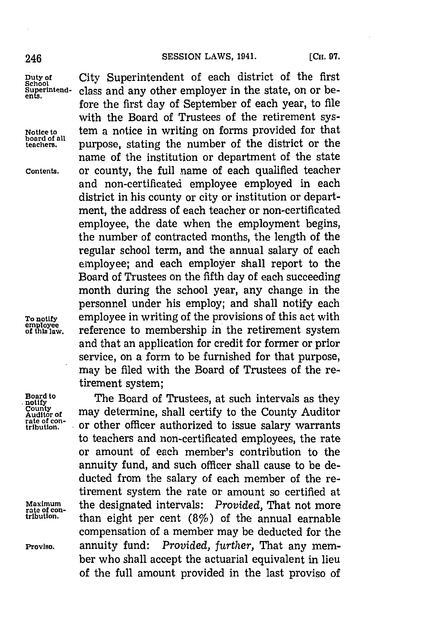**School**

**Notice to**<br>board of all<br>teachers

**Duty of** City Superintendent of each district of the first **5under**<br>5uperintend- class and any other employer in the state, on or before the first day of September of each year, to file with the Board of Trustees of the retirement system a notice in writing on forms provided for that purpose, stating the number of the district or the name of the institution or department of the state **Contents.** or county, the full name of each qualified teacher and non-certificated employee employed in each district in his county or city or institution or department, the address of each teacher or non-certificated employee, the date when the employment begins, the number of contracted months, the length of the regular school term, and the annual salary of each employee; and each employer shall report to the Board of Trustees on the fifth day of each succeeding month during the school year, any change in the personnel under his employ; and shall notify each To notify employee in writing of the provisions of this act with<br>
of this law. Preference to membership in the retirement system reference to membership in the retirement system and that an application for credit for former or prior service, on a form to be furnished for that purpose, may be filed with the Board of Trustees of the retirement system;

**Board to**<br>Board to **The Board of Trustees, at such intervals as the**<br>notify **County**<br>Auditor of any determine, shall certify to the County Auditor<br>tribution. or other officer authorized to issue salary warrants or other officer authorized to issue salary warrants to teachers and non-certificated employees, the rate or amount of each member's contribution to the annuity fund, and such officer shall cause to be deducted from the salary of each member of the retirement system the rate or amount so certified at Maximum the designated intervals: *Provided*, That not more ribution. <br>than eight per cent (8%) of the annual earnable compensation of a member may be deducted for the **Proviso,** annuity fund: *Provided, further,* That any member who shall accept the actuarial equivalent in lieu of the full amount provided in the last proviso of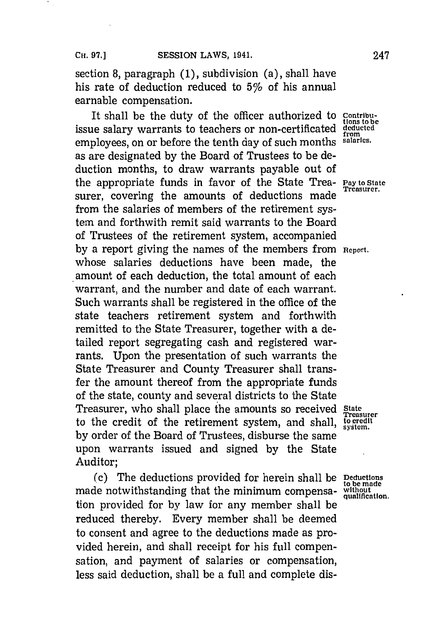section **8,** paragraph **(1),** subdivision (a), shall have his rate of deduction reduced to  $5\%$  of his annual earnable compensation.

It shall be the duty of the officer authorized to issue salary warrants to teachers or non-certificated **dedcted** employees, on or before the tenth day of such months **salaries.** as are designated **by** the Board of Trustees to be deduction months, to draw warrants payable out of the appropriate funds in favor of the State Trea- **pay to state** surer, covering the amounts of deductions made from the salaries of members of the retirement system and forthwith remit said warrants to the Board of Trustees of the retirement system, accompanied **by** a report giving the names of the members from **Report.** whose salaries deductions have been made, the amount of each deduction, the total amount of each warrant, and the number and date of each warrant. Such warrants shall be registered in the office of the state teachers retirement system and forthwith remitted to the State Treasurer, together with a detailed report segregating cash and registered warrants. Upon the presentation of such warrants the State Treasurer and County Treasurer shall transfer the amount thereof from the appropriate funds of the state, county and several districts to the State Treasurer, who shall place the amounts so received **State** to the credit of the retirement system, and shall, **to credit system. by** order of the Board of Trustees, disburse the same upon warrants issued and signed **by** the State Auditor;

(c) The deductions provided for herein shall be **Deduction** made notwithstanding that the minimum compensa- without<br>audience of the minimum compensa-  $\frac{w}{\text{quallification}}$ . tion provided for **by** law for any member shall be reduced thereby. Every member shall be deemed to consent and agree to the deductions made as provided herein, and shall receipt for his full compensation, and payment of salaries or compensation, less said deduction, shall be a full and complete dis-

Contribu-<br>tions to be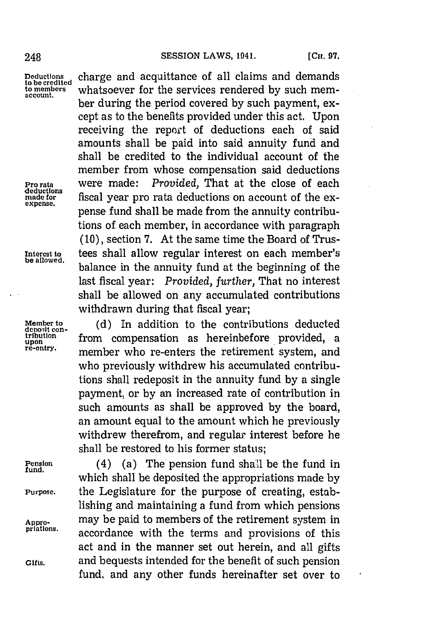**account.**

**-deductions**

**Deductions** charge and acquittance of all claims and demands **to be credited** whatsoever for the services rendered by such member during the period covered **by** such payment, except as to the benefits provided under this act. Upon receiving the report of deductions each of said amounts shall be paid into said annuity fund and shall be credited to the individual account of the member from whose compensation said deductions **Pro rata** were made: *Provided,* That at the close of each deductions<br>made for<br>expense. pense fund shall be made from the annuity contributions of each member, in accordance with paragraph **(10),** section **7.** At the same time the Board of Trus-**Interest to** tees shall allow regular interest on each member's balance in the annuity fund at the beginning of the last fiscal year: *Provided, further,* That no interest shall be allowed on any accumulated contributions withdrawn during that fiscal year;

Member to **(d)** In addition to the contributions deducted deposit con-<br>deposit con-<br>tribution **from** componention as haroinhofore provided a tribution **from compensation as hereinbefore provided**, a **re-entry.** member who re-enters the retirement system, and who previously withdrew his accumulated contributions shall redeposit in the annuity fund **by** a single payment, or **by** an increased rate of contribution in such amounts as shall be approved **by** the board, an amount equal to the amount which he previously withdrew therefrom, and regular interest before he shall be restored to his former status;

**Pension** (4) (a) The pension fund shall be the fund in **fund,** which shall be deposited the appropriations made **by Purpose.** the Legislature for the purpose of creating, establishing and maintaining a fund from which pensions Appro- may be paid to members of the retirement system in<br>
<u>priations</u> **pations.** accordance with the terms and provisions of this act and in the manner set out herein, and all gifts **Gifts,** and bequests intended for the benefit of such pension fund, and any other funds hereinafter set over to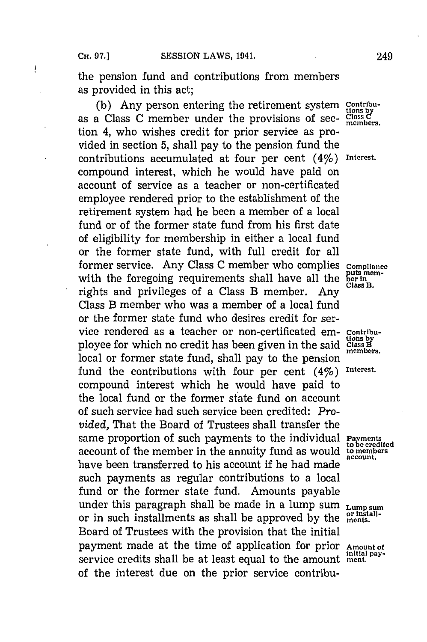the pension fund and contributions from members as provided in this act;

(b) Any person entering the retirement system **Contribu**as a Class C member under the provisions of sec- Class C tion 4, who wishes credit for prior service as provided in section **5,** shall pay to the pension fund the contributions accumulated at four per cent (4%) **Interest.** compound interest, which he would have paid on account of service as a teacher or non-certificated employee rendered prior to the establishment of the retirement system had he been a member of a local fund or of the former state fund from his first date of eligibility for membership in either a local fund or the former state fund, with full credit for all former service. Any Class C member who complies compliance with the foregoing requirements shall have all the bering with the foregoing requirements shall have all the  $\frac{\text{but the}}{\text{Class B}}$ . rights and privileges of a Class B member. Any Class B member who was a member of a local fund or the former state fund who desires credit for service rendered as a teacher or non-certificated em- contribu-<br>ployee for which no credit has been given in the said class B ployee for which no credit has been given in the said class B local or former state fund, shall pay to the pension fund the contributions with four per cent (4%) **Interest.** compound interest which he would have paid to the local fund or the former state fund on account of such service had such service been credited: *Provided,* That the Board of Trustees shall transfer the same proportion of such payments to the individual Payments account of the member in the annuity fund as would **to members** have been transferred to his account if he had made such payments as regular contributions to a local fund or the former state fund. Amounts payable under this paragraph shall be made in a lump sum **Lump sum**<br>
on in guch installments as shall be approved by the <sup>or Install-</sub></sup> or in such installments as shall be approved **by** the **ments.** Board of Trustees with the provision that the initial payment made at the time of application for prior **Amount of Initial pay-** service credits shall be at least equal to the amount **ment.** of the interest due on the prior service contribu-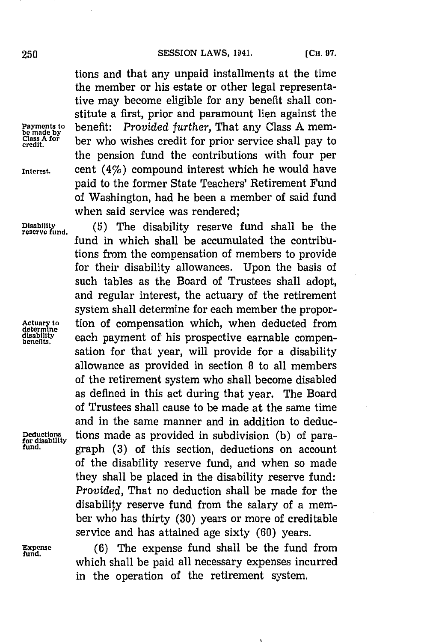tions and that any unpaid installments at the time the member or his estate or other legal representative may become eligible for any benefit shall constitute a first, prior and paramount lien against the **Payments to** benefit: *Provided further,* That any Class **A** member who wishes credit for prior service shall pay to the pension fund the contributions with four per **Interest.** cent (4%) compound interest which he would have paid to the former State Teachers' Retirement Fund of Washington, had he been a member of said fund when said service was rendered;

Disability (5) The disability reserve fund shall be the reserve fund fund in which shall be accumulated the contributions from the compensation of members to provide for their disability allowances. Upon the basis of such tables as the Board of Trustees shall adopt, and regular interest, the actuary of the retirement system shall determine for each member the propor-Actuary to **the** *tion* of compensation which, when deducted from determine  $\theta$  and  $\theta$  as a payment of his prospective earnable compen**disabilty** each payment of his prospective earnable compensation for that year, will provide for a disability allowance as provided in section **8** to all members of the retirement system who shall become disabled as defined in this act during that year. The Board of Trustees shall cause to be made at the same time and in the same manner and in addition to deduc-**Deductions** tions made as provided in subdivision (b) of para- **for disability fund,** graph **(3)** of this section, deductions on account of the disability reserve fund, and when so made they shall be placed in the disability reserve fund: *Provided,* That no deduction shall be made for the disability reserve fund from the salary of a member who has thirty **(30)** years or more of creditable service and has attained age sixty **(60)** years.

**Expense** (6) The expense fund shall be the fund from which shall be paid all necessary expenses incurred in the operation of the retirement system.

*Class A for* credit.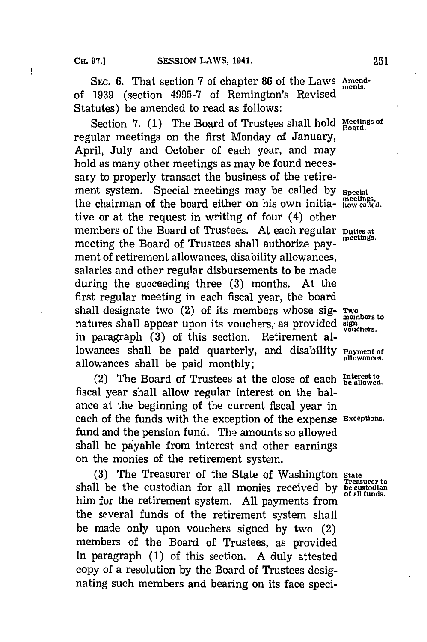SEC. 6. That section 7 of chapter 86 of the Laws Amendof 1939 (section 4995-7 of Remington's Revised Statutes) be amended to read as follows:

Section 7. (1) The Board of Trustees shall hold Meetings of regular meetings on the first Monday of January, April, July and October of each year, and may hold as many other meetings as may be found necessary to properly transact the business of the retire-<br>ment system. Special meetings may be called by special the chairman of the board either on his own initia- **how called**. tive or at the request in writing of four (4) other members of the Board of Trustees. At each regular puttes at meetings. meeting the Board of Trustees shall authorize payment of retirement allowances, disability allowances, salaries and other regular disbursements to be made during the succeeding three **(3)** months. At the first regular meeting in each fiscal year, the board shall designate two (2) of its members whose sig-  $\frac{rwo}{members}$ natures shall appear upon its vouchers, as provided sign vouchers. in paragraph (3) of this section. Retirement allowances shall be paid quarterly, and disability **Payment of** allowances shall be paid monthly; **allowances.**

(2) The Board of Trustees at the close of each **Interest to** (2) fiscal year shall allow regular interest on the balance at the beginning of the current fiscal year in each of the funds with the exception of the expense **Exceptions.** fund and the pension fund. The amounts so allowed shall be payable from interest and other earnings on the monies of the retirement system.

(3) The Treasurer of the State of Washington state shall be the custodian for all monies received by be custodian him for the retirement system. All payments from the several funds of the retirement system shall be made only upon vouchers signed **by** two (2) members of the Board of Trustees, as provided in paragraph **(1)** of this section. **A** duly attested copy of a resolution **by** the Board of Trustees designating such members and bearing on its face speci-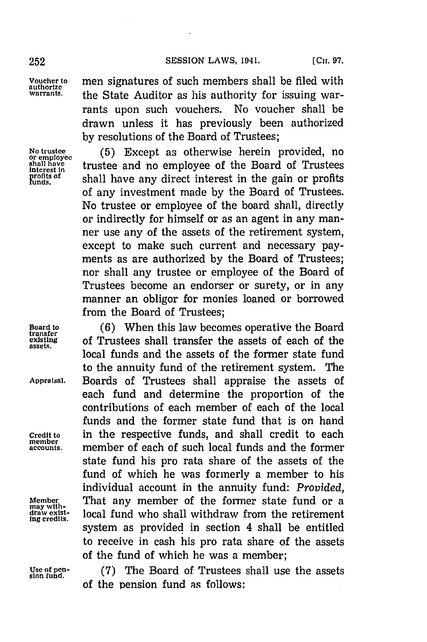**Voucher to** men signatures of such members shall be filed with **authorize** the State Auditor as his authority for issuing warrants upon such vouchers. No voucher shall be drawn unless it has previously been authorized **by** resolutions of the Board of Trustees;

No trustee (5) Except as otherwise herein provided, no<br>or employee trustee and no employee of the Board of Trustees shall have  $\frac{\text{shall have}}{\text{interest in}}$  trustee and no employee of the Board of Trustees puncture and the pain or profits and the stands. **ofn"** shall have any direct interest in the gain or profits of any investment made **by** the Board of Trustees. No trustee or employee of the board shall, directly or indirectly for himself or as an agent in any manner use any of the assets of the retirement system, except to make such current and necessary payments as are authorized **by** the Board of Trustees; nor shall any trustee or employee of the Board of Trustees become an endorser or surety, or in any manner an obligor for monies loaned or borrowed from the Board of Trustees;

Board to (6) When this law becomes operative the Board transfer **transferred existing** of Trustees shall transfer the assets of each of the local funds and the assets of the former state fund to the annuity fund of the retirement system. The **Appraisal.** Boards of Trustees shall appraise the assets of each fund and determine the proportion of the contributions of each member of each of the local funds and the former state fund that is on hand **Credit to** in the respective funds, and shall credit to each member of each of such local funds and the former state fund his pro rata share of the assets of the fund of which he was formerly a member to his individual account in the annuity fund: *Provided,* Member **19.1 That any member of the former state fund or a** local fund who shall withdraw from the retirement system as provided in section 4 shall be entitled to receive in cash his pro rata share of the assets of the fund of which he was a member;

**Use of pen-** *(7)i* The Board of Trustees shall use the assets **sion fund.** of the pension fund as follows:

**member**

may with-<br>draw exist-<br>ing credits.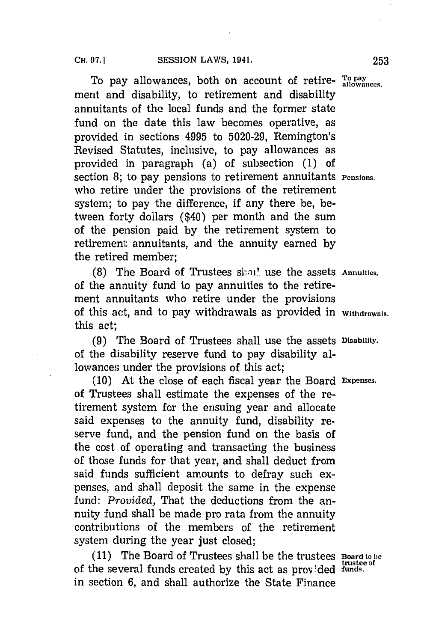To pay allowances, both on account of retire- **To pay** merit and disability, to retirement and disability annuitants of the local funds and the former state fund on the date this law becomes operative, as provided in sections 4995 to **5020-29,** Remington's Revised Statutes, inclusive, to pay allowances as provided in paragraph (a) of subsection **(1)** of section 8; to pay pensions to retirement annuitants **Pensions**. who retire under the provisions of the retirement system; to pay the difference, if any there be, between forty dollars (\$40) per month and the sum of the pension paid **by** the retirement system to retirement annuitants, and the annuity earned **by** the retired member;

**(8)** The Board of Trustees shall use the assets Annuities. of the annuity fund to pay annuities to the retirement annuitants who retire under the provisions of this act, and to pay withdrawals as provided in **Withdrawals.** this act;

**(9)** Trhe Board of Trustees shall use the assets **Disability.** of the disability reserve fund to pay disability allowances under the provisions of this act;

**(10)** At the close of each fiscal year the Board **Expenses.** of Trustees shall estimate the expenses of the retirement system for the ensuing year and allocate said expenses to the annuity fund, disability reserve fund, and the pension fund on the basis of the cost of operating and transacting the business of those funds for that year, and shall deduct from said funds sufficient amounts to defray such expenses, and shall deposit the same in the expense fund: *Provided,* That the deductions from the annuity fund shall be made pro rata from the annuity contributions of the members of the retirement system during the year just closed;

**(11)** The Board of Trustees shall be the trustees **Board to be** of the several funds created by this act as provided funds. in section **6,** and shall authorize the State Finance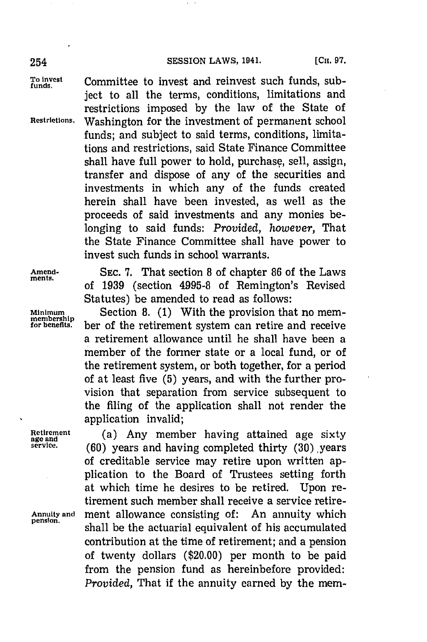### 254 **SESSION LAWS, 1941.** [Сн. 97.

To invest **Committee to invest and reinvest such funds**, subject to all the terms, conditions, limitations and restrictions imposed **by** the law of the State of **Restrictions.** Washington for the investment of permanent school funds; and subject to said terms, conditions, limitations and restrictions, said State Finance Committee shall have full power to hold, purchase, sell, assign, transfer and dispose of any of the securities and investments in which any of the funds created herein shall have been invested, as well as the proceeds of said investments and any monies belonging to said funds: *Provided, however,* That the State Finance Committee shall have power to invest such funds in school warrants.

**Amend- SEC. 7.** That section **8** of chapter **86** of the Laws ments. of **1939** (section **4995-8** of Remington's Revised Statutes) be amended to read as follows:

Minimum Section 8. (1) With the provision that no memfo **enefts.'** ber of the retirement system can retire and receive a retirement allowance until he shall have been a member of the former state or a local fund, or of the retirement system, or both together, for a period of at least five **(5)** years, and with the further provision that separation from service subsequent to the filing of the application shall not render the application invalid;

**Retirement** (a) Any member having attained age sixty age and  $\frac{1}{20}$  age and  $\frac{1}{20}$  age and  $\frac{1}{20}$  age and  $\frac{1}{20}$  age and  $\frac{1}{20}$  age and  $\frac{1}{20}$  age and  $\frac{1}{20}$  age and  $\frac{1}{20}$  age and  $\frac{1}{20$ (60) years and having completed thirty (30) years of creditable service may retire upon written application to the Board of Trustees setting forth at which time he desires to be retired. Upon retirement such member shall receive a service retire-**Annuity and** ment allowance consisting of: An annuity which **pension,** shall be the actuarial equivalent of his accumulated contribution at the time of retirement; and a pension of twenty dollars (\$20.00) per month to be paid from the pension fund as hereinbefore provided: *Provided,* That if the annuity earned **by** the mem.-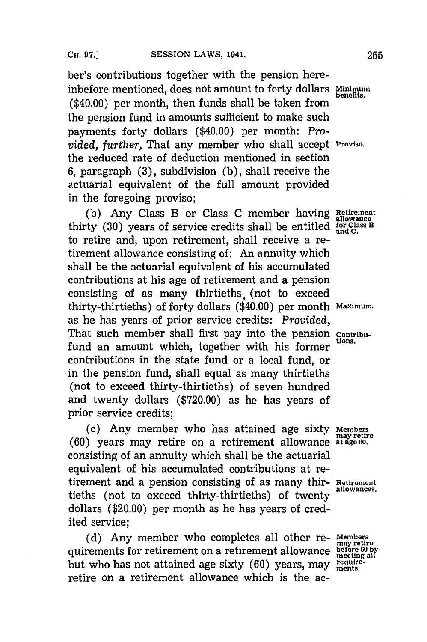ber's contributions together with the pension hereinbefore mentioned, does not amount to forty dollars **Minimum**<br>inherities. (\$40.00) per month, then funds shall be taken from the pension fund in amounts sufficient to make such payments forty dollars (\$40.00) per month: *Provided, further,* That any member who shall accept **Proviso.** the reduced rate of deduction mentioned in section **6,** paragraph **(3),** subdivision **(b),** shall receive the actuarial equivalent of the full amount provided in the foregoing proviso;

**(b)** Any Class B or Class **C** member having **Rei<sup>t</sup> iremnen<sup>t</sup>** thirty (30) years of service credits shall be entitled for Class B<br>to retire and unon potter cast and L to retire and, upon retirement, shall receive a retirement allowance consisting of: An annuity which shall be the actuarial equivalent of his accumulated contributions at his age of retirement and a pension consisting of as many thirtieths, (not to exceed thirty-thirtieths) of forty dollars (\$40.00) per month **Maximum.** as he has years of prior service credits: *Provided,* That such member shall first pay into the pension contribufund an amount which, together with his former contributions in the state fund or a local fund, or in the pension fund, shall equal as many thirtieths (not to exceed thirty-thirtieths) of seven hundred and twenty dollars **(\$720.00)** as he has years of prior service credits;

(c) Any member who has attained age sixty Members **(60)** years may retire on a retirement allowance **at age Go.** consisting of an annuity which shall be the actuarial equivalent of his accumulated contributions at retirement and a pension consisting of as many thir-**Retirement** tieths (not to exceed thirty-thirtieths) of twenty dollars (\$20.00) per month as he has years of credited service;

(d) Any member who completes all other re- Members quirements for retirement on a retirement allowance **before 60** by but who has not attained age sixty (60) years, may requireretire on a retirement allowance which is the ac-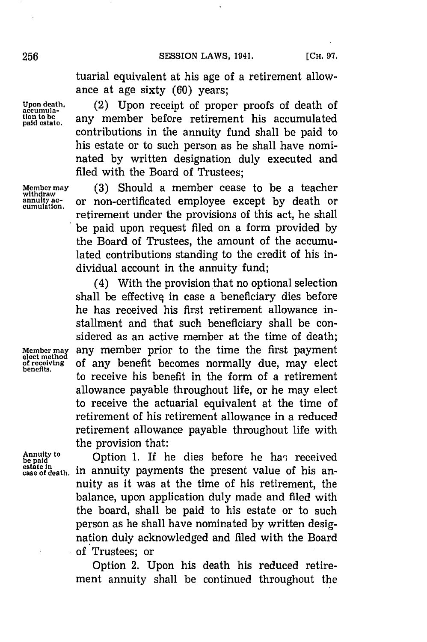tuarial equivalent at his age of a retirement allowance at age sixty **(60)** years;

**Upon death,** (2) Upon receipt of proper proofs of death of any member before retirement his accumulated contributions in the annuity fund shall be paid to his estate or to such person as he shall have nominated **by** written designation duly executed and filed with the Board of Trustees;

**Member may (3)** Should a member cease to be a teacher **annuity ac-** or non-certificated employee except **by** death or **cumulation.** retirement under the provisions of this act, he shall be paid upon request filed on a form provided **by** the Board of Trustees, the amount of the accumulated contributions standing to the credit of his individual account in the annuity fund;

(4) With the provision that no optional selection shall be effective in case a beneficiary dies before he has received his first retirement allowance installment and that such beneficiary shall be considered as an active member at the time of death; **Member may any member prior to the time the first payment elect method** of any benefit becomes normally due, may elect henofits. to receive his benefit in the form of a retirement allowance payable throughout life, or he may elect to receive the actuarial equivalent at the time of retirement of his retirement allowance in a reduced retirement allowance payable throughout life with the provision that:

**Annuity to be provision that:**<br>be paid **our completed by Option 1.** If he dies before he has received Annuity to **case of death**. **in** annuity payments the present value of his ansies of death. **in** annuity payments the present value of his annuity as it was at the time of his retirement, the balance, upon application duly made and filed with the board, shall be paid to his estate or to such person as he shall have nominated **by** written designation duly acknowledged and filed with the Board of Trustees; or

> Option 2. Upon his death his reduced retirement annuity shall be continued throughout the

**tion to be**<br>paid estate.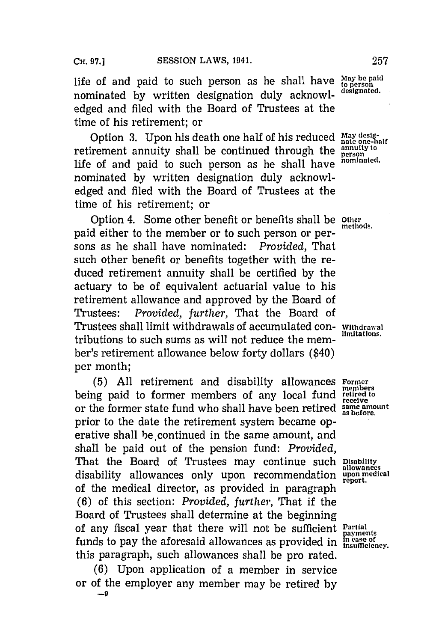life of and paid to such person as he shall have  $\frac{May \text{ be paid}}{toperson}$  nominated by unition deciration delse advanced. nominated by written designation duly acknowledged and filed with the Board of Trustees at the time of his retirement; or

Option 3. Upon his death one half of his reduced May designed the one-half of the part of the part of the **annuity** to  $\frac{1}{n}$  in the annual through the annual of the state of the state of the state of the state of the s retirement annuity shall be continued through the **annuity** to<br>life of and maid to such assess as he shall have nominated. life of and paid to such person as he shall have nominated **by** written designation duly acknowledged and filed with the Board of Trustees at the time of his retirement; or

Option 4. Some other benefit or benefits shall be other paid either to the member or to such person or persons as he shall have nominated: *Provided*. That such other benefit or benefits together with the reduced retirement annuity shall be certified **by** the actuary to be of equivalent actuarial value to his retirement allowance and approved **by** the Board of Trustees: *Provided, further,* That the Board of Trustees shall limit withdrawals of accumulated con- **Withdrawal** tributions to such sums as will not reduce the member's retirement allowance below forty dollars (\$40) per month;

**(5) All** retirement and disability allowances **Forme~r** being paid to former members of any local fund retired to or the former state fund who shall have been retired **same amount as before.** prior to the date the retirement system became operative shall be continued in the same amount, and shall be paid out of the pension fund: *Provided,* That the Board of Trustees may continue such **Disability** disability allowances only upon recommendation **upon medical** of the medical director, as provided in paragraph **(6)** of this section: *Provided, further,* That if the Board of Trustees shall determine at the beginning of any fiscal year that there will not be sufficient **Partial** funds to pay the aforesaid allowances as provided in **incase** of this payments and the sum of the sum of the sum of the sum of the sum of the sum of the sum of the sum of the sum of the sum of the sum of the sum of the sum this paragraph, such allowances shall be pro rated.

**(6)** Upon application of a member in service or of the employer any member may be retired **by**